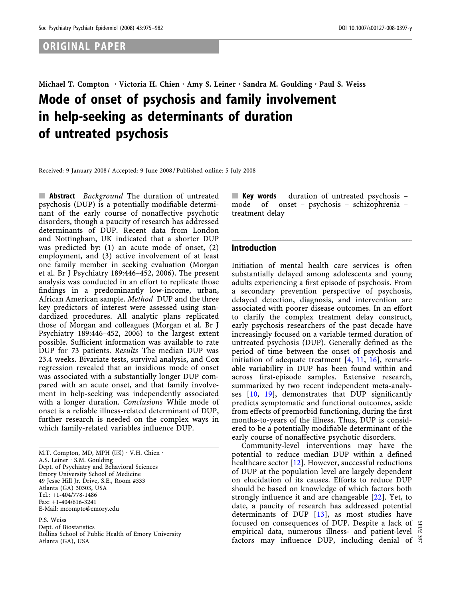# ORIGINAL PAPER

# Michael T. Compton • Victoria H. Chien • Amy S. Leiner • Sandra M. Goulding • Paul S. Weiss Mode of onset of psychosis and family involvement in help-seeking as determinants of duration of untreated psychosis

Received: 9 January 2008 / Accepted: 9 June 2008 / Published online: 5 July 2008

**E** Abstract Background The duration of untreated psychosis (DUP) is a potentially modifiable determinant of the early course of nonaffective psychotic disorders, though a paucity of research has addressed determinants of DUP. Recent data from London and Nottingham, UK indicated that a shorter DUP was predicted by: (1) an acute mode of onset, (2) employment, and (3) active involvement of at least one family member in seeking evaluation (Morgan et al. Br J Psychiatry 189:446–452, 2006). The present analysis was conducted in an effort to replicate those findings in a predominantly low-income, urban, African American sample. Method DUP and the three key predictors of interest were assessed using standardized procedures. All analytic plans replicated those of Morgan and colleagues (Morgan et al. Br J Psychiatry 189:446–452, 2006) to the largest extent possible. Sufficient information was available to rate DUP for 73 patients. Results The median DUP was 23.4 weeks. Bivariate tests, survival analysis, and Cox regression revealed that an insidious mode of onset was associated with a substantially longer DUP compared with an acute onset, and that family involvement in help-seeking was independently associated with a longer duration. *Conclusions* While mode of onset is a reliable illness-related determinant of DUP, further research is needed on the complex ways in which family-related variables influence DUP.

M.T. Compton, MD, MPH  $(\boxtimes) \cdot V.H.$  Chien  $\cdot$ A.S. Leiner  $\cdot$  S.M. Goulding Dept. of Psychiatry and Behavioral Sciences Emory University School of Medicine 49 Jesse Hill Jr. Drive, S.E., Room #333 Atlanta (GA) 30303, USA Tel.: +1-404/778-1486 Fax: +1-404/616-3241 E-Mail: mcompto@emory.edu

P.S. Weiss Dept. of Biostatistics Rollins School of Public Health of Emory University Atlanta (GA), USA

**Key words** duration of untreated psychosis  $$ mode of onset – psychosis – schizophrenia – treatment delay

## Introduction

Initiation of mental health care services is often substantially delayed among adolescents and young adults experiencing a first episode of psychosis. From a secondary prevention perspective of psychosis, delayed detection, diagnosis, and intervention are associated with poorer disease outcomes. In an effort to clarify the complex treatment delay construct, early psychosis researchers of the past decade have increasingly focused on a variable termed duration of untreated psychosis (DUP). Generally defined as the period of time between the onset of psychosis and initiation of adequate treatment  $[4, 11, 16]$  $[4, 11, 16]$  $[4, 11, 16]$  $[4, 11, 16]$  $[4, 11, 16]$  $[4, 11, 16]$ , remarkable variability in DUP has been found within and across first-episode samples. Extensive research, summarized by two recent independent meta-analyses [[10](#page-6-0), [19\]](#page-7-0), demonstrates that DUP significantly predicts symptomatic and functional outcomes, aside from effects of premorbid functioning, during the first months-to-years of the illness. Thus, DUP is considered to be a potentially modifiable determinant of the early course of nonaffective psychotic disorders.

Community-level interventions may have the potential to reduce median DUP within a defined healthcare sector [\[12](#page-6-0)]. However, successful reductions of DUP at the population level are largely dependent on elucidation of its causes. Efforts to reduce DUP should be based on knowledge of which factors both strongly influence it and are changeable [\[22](#page-7-0)]. Yet, to date, a paucity of research has addressed potential determinants of DUP [\[13\]](#page-6-0), as most studies have focused on consequences of DUP. Despite a lack of empirical data, numerous illness- and patient-level factors may influence DUP, including denial of

SPPE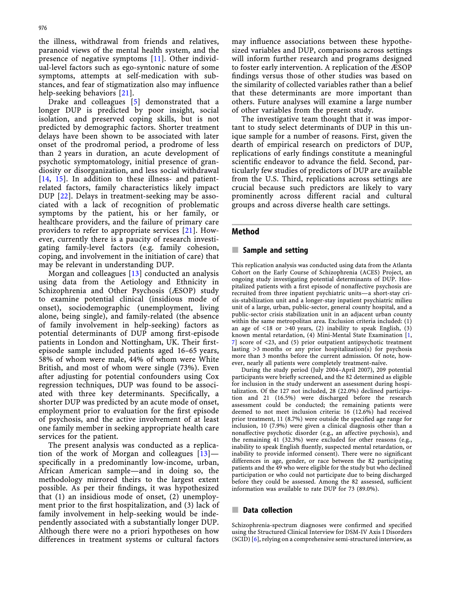the illness, withdrawal from friends and relatives, paranoid views of the mental health system, and the presence of negative symptoms [[11\]](#page-6-0). Other individual-level factors such as ego-syntonic nature of some symptoms, attempts at self-medication with substances, and fear of stigmatization also may influence help-seeking behaviors [[21\]](#page-7-0).

Drake and colleagues [\[5\]](#page-6-0) demonstrated that a longer DUP is predicted by poor insight, social isolation, and preserved coping skills, but is not predicted by demographic factors. Shorter treatment delays have been shown to be associated with later onset of the prodromal period, a prodrome of less than 2 years in duration, an acute development of psychotic symptomatology, initial presence of grandiosity or disorganization, and less social withdrawal [[14](#page-6-0), [15](#page-6-0)]. In addition to these illness- and patientrelated factors, family characteristics likely impact DUP [[22\]](#page-7-0). Delays in treatment-seeking may be associated with a lack of recognition of problematic symptoms by the patient, his or her family, or healthcare providers, and the failure of primary care providers to refer to appropriate services [\[21\]](#page-7-0). However, currently there is a paucity of research investigating family-level factors (e.g. family cohesion, coping, and involvement in the initiation of care) that may be relevant in understanding DUP.

Morgan and colleagues [[13\]](#page-6-0) conducted an analysis using data from the Aetiology and Ethnicity in Schizophrenia and Other Psychosis (ÆSOP) study to examine potential clinical (insidious mode of onset), sociodemographic (unemployment, living alone, being single), and family-related (the absence of family involvement in help-seeking) factors as potential determinants of DUP among first-episode patients in London and Nottingham, UK. Their firstepisode sample included patients aged 16–65 years, 58% of whom were male, 44% of whom were White British, and most of whom were single (73%). Even after adjusting for potential confounders using Cox regression techniques, DUP was found to be associated with three key determinants. Specifically, a shorter DUP was predicted by an acute mode of onset, employment prior to evaluation for the first episode of psychosis, and the active involvement of at least one family member in seeking appropriate health care services for the patient.

The present analysis was conducted as a replication of the work of Morgan and colleagues [\[13](#page-6-0)] specifically in a predominantly low-income, urban, African American sample—and in doing so, the methodology mirrored theirs to the largest extent possible. As per their findings, it was hypothesized that (1) an insidious mode of onset, (2) unemployment prior to the first hospitalization, and (3) lack of family involvement in help-seeking would be independently associated with a substantially longer DUP. Although there were no a priori hypotheses on how differences in treatment systems or cultural factors

may influence associations between these hypothesized variables and DUP, comparisons across settings will inform further research and programs designed to foster early intervention. A replication of the ÆSOP findings versus those of other studies was based on the similarity of collected variables rather than a belief that these determinants are more important than others. Future analyses will examine a large number of other variables from the present study.

The investigative team thought that it was important to study select determinants of DUP in this unique sample for a number of reasons. First, given the dearth of empirical research on predictors of DUP, replications of early findings constitute a meaningful scientific endeavor to advance the field. Second, particularly few studies of predictors of DUP are available from the U.S. Third, replications across settings are crucial because such predictors are likely to vary prominently across different racial and cultural groups and across diverse health care settings.

# Method

# **Sample and setting**

This replication analysis was conducted using data from the Atlanta Cohort on the Early Course of Schizophrenia (ACES) Project, an ongoing study investigating potential determinants of DUP. Hospitalized patients with a first episode of nonaffective psychosis are recruited from three inpatient psychiatric units—a short-stay crisis-stabilization unit and a longer-stay inpatient psychiatric milieu unit of a large, urban, public-sector, general county hospital, and a public-sector crisis stabilization unit in an adjacent urban county within the same metropolitan area. Exclusion criteria included: (1) an age of  $\langle 18 \text{ or } \rangle$  +40 years, (2) inability to speak English, (3) known mental retardation, (4) Mini-Mental State Examination [\[1](#page-6-0), [7](#page-6-0)] score of <23, and (5) prior outpatient antipsychotic treatment lasting >3 months or any prior hospitalization(s) for psychosis more than 3 months before the current admission. Of note, however, nearly all patients were completely treatment-naïve.

During the study period (July 2004–April 2007), 209 potential participants were briefly screened, and the 82 determined as eligible for inclusion in the study underwent an assessment during hospitalization. Of the 127 not included, 28 (22.0%) declined participation and 21 (16.5%) were discharged before the research assessment could be conducted; the remaining patients were deemed to not meet inclusion criteria: 16 (12.6%) had received prior treatment, 11 (8.7%) were outside the specified age range for inclusion, 10 (7.9%) were given a clinical diagnosis other than a nonaffective psychotic disorder (e.g., an affective psychosis), and the remaining 41 (32.3%) were excluded for other reasons (e.g., inability to speak English fluently, suspected mental retardation, or inability to provide informed consent). There were no significant differences in age, gender, or race between the 82 participating patients and the 49 who were eligible for the study but who declined participation or who could not participate due to being discharged before they could be assessed. Among the 82 assessed, sufficient information was available to rate DUP for 73 (89.0%).

#### $\blacksquare$  Data collection

Schizophrenia-spectrum diagnoses were confirmed and specified using the Structured Clinical Interview for DSM-IV Axis I Disorders (SCID) [\[6](#page-6-0)], relying on a comprehensive semi-structured interview, as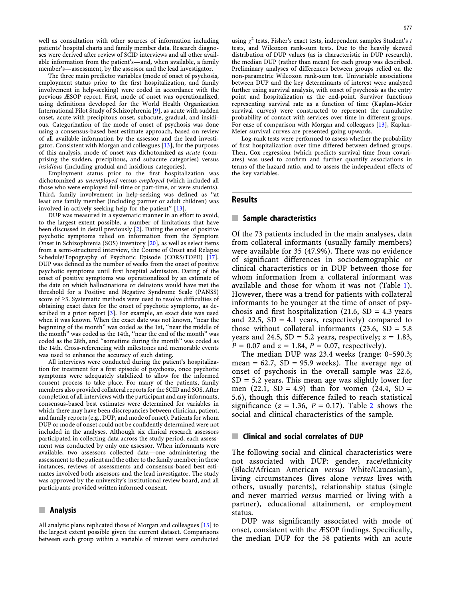well as consultation with other sources of information including patients' hospital charts and family member data. Research diagnoses were derived after review of SCID interviews and all other available information from the patient's—and, when available, a family member's—assessment, by the assessor and the lead investigator.

The three main predictor variables (mode of onset of psychosis, employment status prior to the first hospitalization, and family involvement in help-seeking) were coded in accordance with the previous ÆSOP report. First, mode of onset was operationalized, using definitions developed for the World Health Organization International Pilot Study of Schizophrenia [[9\]](#page-6-0), as acute with sudden onset, acute with precipitous onset, subacute, gradual, and insidious. Categorization of the mode of onset of psychosis was done using a consensus-based best estimate approach, based on review of all available information by the assessor and the lead investigator. Consistent with Morgan and colleagues [\[13\]](#page-6-0), for the purposes of this analysis, mode of onset was dichotomized as acute (comprising the sudden, precipitous, and subacute categories) versus insidious (including gradual and insidious categories).

Employment status prior to the first hospitalization was dichotomized as unemployed versus employed (which included all those who were employed full-time or part-time, or were students). Third, family involvement in help-seeking was defined as ''at least one family member (including partner or adult children) was involved in actively seeking help for the patient'' [[13\]](#page-6-0).

DUP was measured in a systematic manner in an effort to avoid, to the largest extent possible, a number of limitations that have been discussed in detail previously [[2\]](#page-6-0). Dating the onset of positive psychotic symptoms relied on information from the Symptom Onset in Schizophrenia (SOS) inventory [[20\]](#page-7-0), as well as select items from a semi-structured interview, the Course of Onset and Relapse Schedule/Topography of Psychotic Episode (CORS/TOPE) [[17\]](#page-6-0). DUP was defined as the number of weeks from the onset of positive psychotic symptoms until first hospital admission. Dating of the onset of positive symptoms was operationalized by an estimate of the date on which hallucinations or delusions would have met the threshold for a Positive and Negative Syndrome Scale (PANSS) score of ≥3. Systematic methods were used to resolve difficulties of obtaining exact dates for the onset of psychotic symptoms, as described in a prior report [\[3](#page-6-0)]. For example, an exact date was used when it was known. When the exact date was not known, ''near the beginning of the month'' was coded as the 1st, ''near the middle of the month'' was coded as the 14th, ''near the end of the month'' was coded as the 28th, and ''sometime during the month'' was coded as the 14th. Cross-referencing with milestones and memorable events was used to enhance the accuracy of such dating.

All interviews were conducted during the patient's hospitalization for treatment for a first episode of psychosis, once psychotic symptoms were adequately stabilized to allow for the informed consent process to take place. For many of the patients, family members also provided collateral reports for the SCID and SOS. After completion of all interviews with the participant and any informants, consensus-based best estimates were determined for variables in which there may have been discrepancies between clinician, patient, and family reports (e.g., DUP, and mode of onset). Patients for whom DUP or mode of onset could not be confidently determined were not included in the analyses. Although six clinical research assessors participated in collecting data across the study period, each assessment was conducted by only one assessor. When informants were available, two assessors collected data—one administering the assessment to the patient and the other to the family member; in these instances, reviews of assessments and consensus-based best estimates involved both assessors and the lead investigator. The study was approved by the university's institutional review board, and all participants provided written informed consent.

#### $\blacksquare$  Analysis

All analytic plans replicated those of Morgan and colleagues [\[13\]](#page-6-0) to the largest extent possible given the current dataset. Comparisons between each group within a variable of interest were conducted using  $\chi^2$  tests, Fisher's exact tests, independent samples Student's t tests, and Wilcoxon rank-sum tests. Due to the heavily skewed distribution of DUP values (as is characteristic in DUP research), the median DUP (rather than mean) for each group was described. Preliminary analyses of differences between groups relied on the non-parametric Wilcoxon rank-sum test. Univariable associations between DUP and the key determinants of interest were analyzed further using survival analysis, with onset of psychosis as the entry point and hospitalization as the end-point. Survivor functions representing survival rate as a function of time (Kaplan–Meier survival curves) were constructed to represent the cumulative probability of contact with services over time in different groups. For ease of comparison with Morgan and colleagues [\[13](#page-6-0)], Kaplan-Meier survival curves are presented going upwards.

Log-rank tests were performed to assess whether the probability of first hospitalization over time differed between defined groups. Then, Cox regression (which predicts survival time from covariates) was used to confirm and further quantify associations in terms of the hazard ratio, and to assess the independent effects of the key variables.

#### Results

#### $\blacksquare$  Sample characteristics

Of the 73 patients included in the main analyses, data from collateral informants (usually family members) were available for 35 (47.9%). There was no evidence of significant differences in sociodemographic or clinical characteristics or in DUP between those for whom information from a collateral informant was available and those for whom it was not (Table [1\)](#page-3-0). However, there was a trend for patients with collateral informants to be younger at the time of onset of psychosis and first hospitalization (21.6,  $SD = 4.3$  years and 22.5,  $SD = 4.1$  years, respectively) compared to those without collateral informants  $(23.6, SD = 5.8)$ years and 24.5,  $SD = 5.2$  years, respectively;  $z = 1.83$ ,  $P = 0.07$  and  $z = 1.84$ ,  $P = 0.07$ , respectively).

The median DUP was 23.4 weeks (range: 0–590.3; mean =  $62.7$ , SD = 95.9 weeks). The average age of onset of psychosis in the overall sample was 22.6,  $SD = 5.2$  years. This mean age was slightly lower for men  $(22.1, SD = 4.9)$  than for women  $(24.4, SD = 1)$ 5.6), though this difference failed to reach statistical significance ( $z = 1.36$ ,  $P = 0.17$ ). Table [2](#page-4-0) shows the social and clinical characteristics of the sample.

## **EX Clinical and social correlates of DUP**

The following social and clinical characteristics were not associated with DUP: gender, race/ethnicity (Black/African American versus White/Caucasian), living circumstances (lives alone versus lives with others, usually parents), relationship status (single and never married versus married or living with a partner), educational attainment, or employment status.

DUP was significantly associated with mode of onset, consistent with the ÆSOP findings. Specifically, the median DUP for the 58 patients with an acute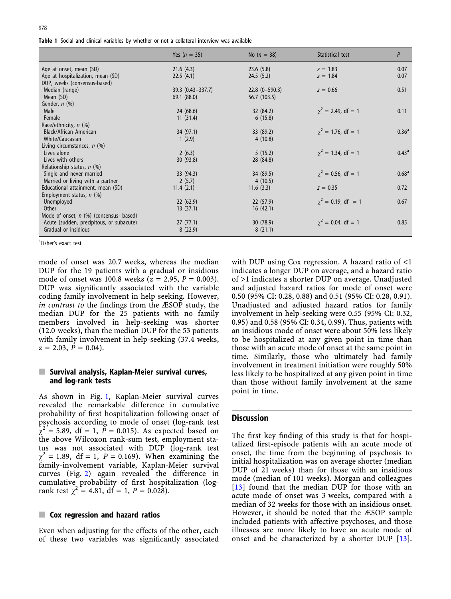<span id="page-3-0"></span>Table 1 Social and clinical variables by whether or not a collateral interview was available

|                                           | Yes $(n = 35)$        | No $(n = 38)$   | Statistical test           | $\mathsf{P}$      |
|-------------------------------------------|-----------------------|-----------------|----------------------------|-------------------|
| Age at onset, mean (SD)                   | 21.6(4.3)             | 23.6(5.8)       | $z = 1.83$                 | 0.07              |
| Age at hospitalization, mean (SD)         | 22.5(4.1)             | 24.5(5.2)       | $z = 1.84$                 | 0.07              |
| DUP, weeks (consensus-based)              |                       |                 |                            |                   |
| Median (range)                            | $39.3 (0.43 - 337.7)$ | $22.8(0-590.3)$ | $z = 0.66$                 | 0.51              |
| Mean (SD)                                 | 69.1 (88.0)           | 56.7 (103.5)    |                            |                   |
| Gender, n (%)                             |                       |                 |                            |                   |
| Male                                      | 24 (68.6)             | 32 (84.2)       | $\gamma^2$ = 2.49, df = 1  | 0.11              |
| Female                                    | 11(31.4)              | 6(15.8)         |                            |                   |
| Race/ethnicity, n (%)                     |                       |                 |                            |                   |
| <b>Black/African American</b>             | 34 (97.1)             | 33 (89.2)       | $\gamma^2 = 1.76$ , df = 1 | 0.36 <sup>a</sup> |
| White/Caucasian                           | 1(2.9)                | 4(10.8)         |                            |                   |
| Living circumstances, $n$ (%)             |                       |                 |                            |                   |
| Lives alone                               | 2(6.3)                | 5(15.2)         | $\gamma^2 = 1.34$ , df = 1 | 0.43 <sup>a</sup> |
| Lives with others                         | 30 (93.8)             | 28 (84.8)       |                            |                   |
| Relationship status, n (%)                |                       |                 |                            |                   |
| Single and never married                  | 33 (94.3)             | 34 (89.5)       | $\gamma^2 = 0.56$ , df = 1 | 0.68 <sup>a</sup> |
| Married or living with a partner          | 2(5.7)                | 4(10.5)         |                            |                   |
| Educational attainment, mean (SD)         | 11.4(2.1)             | 11.6(3.3)       | $z = 0.35$                 | 0.72              |
| Employment status, n (%)                  |                       |                 |                            |                   |
| Unemployed                                | 22(62.9)              | 22(57.9)        | $\gamma^2 = 0.19$ , df = 1 | 0.67              |
| Other                                     | 13(37.1)              | 16(42.1)        |                            |                   |
| Mode of onset, $n$ (%) (consensus- based) |                       |                 |                            |                   |
| Acute (sudden, precipitous, or subacute)  | 27(77.1)              | 30(78.9)        | $\gamma^2 = 0.04$ , df = 1 | 0.85              |
| Gradual or insidious                      | 8(22.9)               | 8(21.1)         |                            |                   |

<sup>a</sup>Fisher's exact test

mode of onset was 20.7 weeks, whereas the median DUP for the 19 patients with a gradual or insidious mode of onset was 100.8 weeks ( $z = 2.95$ ,  $P = 0.003$ ). DUP was significantly associated with the variable coding family involvement in help seeking. However, in contrast to the findings from the ÆSOP study, the median DUP for the 25 patients with no family members involved in help-seeking was shorter (12.0 weeks), than the median DUP for the 53 patients with family involvement in help-seeking (37.4 weeks,  $z = 2.03, P = 0.04$ .

#### $\blacksquare$  Survival analysis, Kaplan-Meier survival curves, and log-rank tests

As shown in Fig. [1,](#page-4-0) Kaplan-Meier survival curves revealed the remarkable difference in cumulative probability of first hospitalization following onset of psychosis according to mode of onset (log-rank test  $\chi^2 = 5.89$ , df = 1, P = 0.015). As expected based on the above Wilcoxon rank-sum test, employment status was not associated with DUP (log-rank test  $\chi^2 = 1.89$ , df = 1, P = 0.169). When examining the family-involvement variable, Kaplan-Meier survival curves (Fig. [2\)](#page-5-0) again revealed the difference in cumulative probability of first hospitalization (logrank test  $\chi^2 = 4.81$ , df = 1, P = 0.028).

#### $\blacksquare$  Cox regression and hazard ratios

Even when adjusting for the effects of the other, each of these two variables was significantly associated

with DUP using Cox regression. A hazard ratio of <1 indicates a longer DUP on average, and a hazard ratio of >1 indicates a shorter DUP on average. Unadjusted and adjusted hazard ratios for mode of onset were 0.50 (95% CI: 0.28, 0.88) and 0.51 (95% CI: 0.28, 0.91). Unadjusted and adjusted hazard ratios for family involvement in help-seeking were 0.55 (95% CI: 0.32, 0.95) and 0.58 (95% CI: 0.34, 0.99). Thus, patients with an insidious mode of onset were about 50% less likely to be hospitalized at any given point in time than those with an acute mode of onset at the same point in time. Similarly, those who ultimately had family involvement in treatment initiation were roughly 50% less likely to be hospitalized at any given point in time than those without family involvement at the same point in time.

#### **Discussion**

The first key finding of this study is that for hospitalized first-episode patients with an acute mode of onset, the time from the beginning of psychosis to initial hospitalization was on average shorter (median DUP of 21 weeks) than for those with an insidious mode (median of 101 weeks). Morgan and colleagues [\[13](#page-6-0)] found that the median DUP for those with an acute mode of onset was 3 weeks, compared with a median of 32 weeks for those with an insidious onset. However, it should be noted that the ÆSOP sample included patients with affective psychoses, and those illnesses are more likely to have an acute mode of onset and be characterized by a shorter DUP [[13\]](#page-6-0).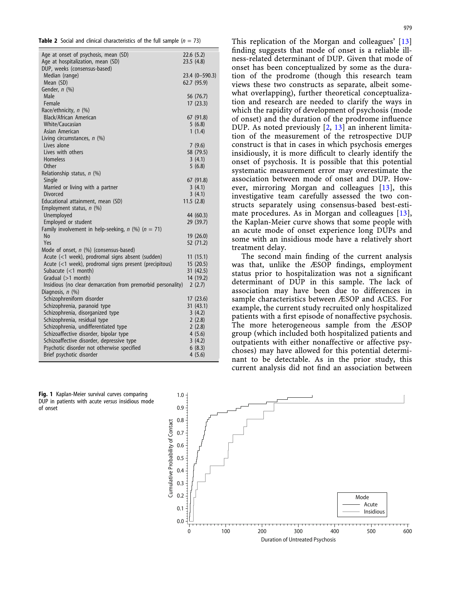<span id="page-4-0"></span>

|  |  |  |  | <b>Table 2</b> Social and clinical characteristics of the full sample ( $n = 73$ ) |  |  |  |  |  |  |  |  |
|--|--|--|--|------------------------------------------------------------------------------------|--|--|--|--|--|--|--|--|
|--|--|--|--|------------------------------------------------------------------------------------|--|--|--|--|--|--|--|--|

| Age at onset of psychosis, mean (SD)                              | 22.6(5.2)      |
|-------------------------------------------------------------------|----------------|
| Age at hospitalization, mean (SD)<br>DUP, weeks (consensus-based) | 23.5(4.8)      |
| Median (range)                                                    | 23.4 (0-590.3) |
| Mean (SD)                                                         | 62.7 (95.9)    |
| Gender, n (%)                                                     |                |
| Male                                                              | 56 (76.7)      |
| Female                                                            | 17(23.3)       |
| Race/ethnicity, n (%)                                             |                |
| <b>Black/African American</b>                                     | 67(91.8)       |
| White/Caucasian                                                   | 5(6.8)         |
| Asian American                                                    | 1(1.4)         |
| Living circumstances, $n$ (%)                                     |                |
| Lives alone                                                       | 7(9.6)         |
| Lives with others                                                 | 58 (79.5)      |
| <b>Homeless</b>                                                   | 3(4.1)         |
| Other                                                             | 5(6.8)         |
| Relationship status, n (%)                                        |                |
| Single                                                            | 67(91.8)       |
| Married or living with a partner                                  | 3(4.1)         |
| <b>Divorced</b>                                                   | 3(4.1)         |
| Educational attainment, mean (SD)                                 | 11.5(2.8)      |
| Employment status, n (%)                                          |                |
| Unemployed                                                        | 44 (60.3)      |
| Employed or student                                               | 29 (39.7)      |
| Family involvement in help-seeking, $n$ (%) ( $n = 71$ )          |                |
| N <sub>o</sub>                                                    | 19(26.0)       |
| Yes                                                               | 52 (71.2)      |
| Mode of onset, $n$ (%) (consensus-based)                          |                |
| Acute (<1 week), prodromal signs absent (sudden)                  | 11(15.1)       |
| Acute (<1 week), prodromal signs present (precipitous)            | 15(20.5)       |
| Subacute $(<1$ month)                                             | 31 (42.5)      |
| Gradual (>1 month)                                                | 14 (19.2)      |
| Insidious (no clear demarcation from premorbid personality)       | 2(2.7)         |
| Diagnosis, n (%)                                                  |                |
| Schizophreniform disorder                                         | 17(23.6)       |
| Schizophrenia, paranoid type                                      | 31(43.1)       |
| Schizophrenia, disorganized type                                  | 3(4.2)         |
| Schizophrenia, residual type                                      | 2(2.8)         |
| Schizophrenia, undifferentiated type                              | 2(2.8)         |
| Schizoaffective disorder, bipolar type                            | 4(5.6)         |
| Schizoaffective disorder, depressive type                         | 3(4.2)         |
| Psychotic disorder not otherwise specified                        | 6(8.3)         |
| Brief psychotic disorder                                          | 4(5.6)         |
|                                                                   |                |

Fig. 1 Kaplan-Meier survival curves comparing DUP in patients with acute versus insidious mode of onset

This replication of the Morgan and colleagues' [\[13](#page-6-0)] finding suggests that mode of onset is a reliable illness-related determinant of DUP. Given that mode of onset has been conceptualized by some as the duration of the prodrome (though this research team views these two constructs as separate, albeit somewhat overlapping), further theoretical conceptualization and research are needed to clarify the ways in which the rapidity of development of psychosis (mode of onset) and the duration of the prodrome influence DUP. As noted previously [[2,](#page-6-0) [13](#page-6-0)] an inherent limitation of the measurement of the retrospective DUP construct is that in cases in which psychosis emerges insidiously, it is more difficult to clearly identify the onset of psychosis. It is possible that this potential systematic measurement error may overestimate the association between mode of onset and DUP. However, mirroring Morgan and colleagues [[13\]](#page-6-0), this investigative team carefully assessed the two constructs separately using consensus-based best-estimate procedures. As in Morgan and colleagues [[13\]](#page-6-0), the Kaplan-Meier curve shows that some people with an acute mode of onset experience long DUPs and some with an insidious mode have a relatively short treatment delay.

The second main finding of the current analysis was that, unlike the ÆSOP findings, employment status prior to hospitalization was not a significant determinant of DUP in this sample. The lack of association may have been due to differences in sample characteristics between ÆSOP and ACES. For example, the current study recruited only hospitalized patients with a first episode of nonaffective psychosis. The more heterogeneous sample from the ÆSOP group (which included both hospitalized patients and outpatients with either nonaffective or affective psychoses) may have allowed for this potential determinant to be detectable. As in the prior study, this current analysis did not find an association between

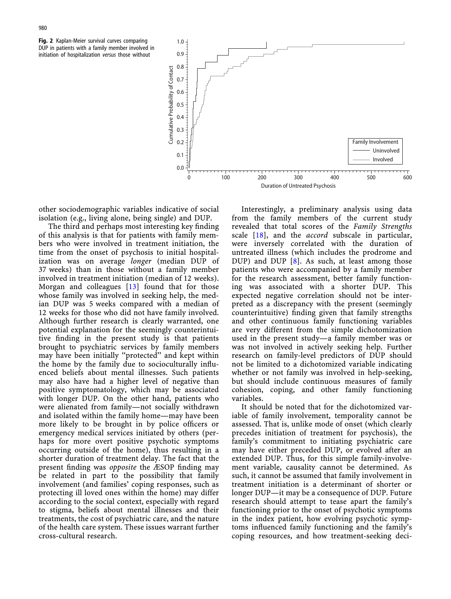<span id="page-5-0"></span>



other sociodemographic variables indicative of social isolation (e.g., living alone, being single) and DUP.

The third and perhaps most interesting key finding of this analysis is that for patients with family members who were involved in treatment initiation, the time from the onset of psychosis to initial hospitalization was on average longer (median DUP of 37 weeks) than in those without a family member involved in treatment initiation (median of 12 weeks). Morgan and colleagues [[13](#page-6-0)] found that for those whose family was involved in seeking help, the median DUP was 5 weeks compared with a median of 12 weeks for those who did not have family involved. Although further research is clearly warranted, one potential explanation for the seemingly counterintuitive finding in the present study is that patients brought to psychiatric services by family members may have been initially ''protected'' and kept within the home by the family due to socioculturally influenced beliefs about mental illnesses. Such patients may also have had a higher level of negative than positive symptomatology, which may be associated with longer DUP. On the other hand, patients who were alienated from family—not socially withdrawn and isolated within the family home—may have been more likely to be brought in by police officers or emergency medical services initiated by others (perhaps for more overt positive psychotic symptoms occurring outside of the home), thus resulting in a shorter duration of treatment delay. The fact that the present finding was opposite the ÆSOP finding may be related in part to the possibility that family involvement (and families' coping responses, such as protecting ill loved ones within the home) may differ according to the social context, especially with regard to stigma, beliefs about mental illnesses and their treatments, the cost of psychiatric care, and the nature of the health care system. These issues warrant further cross-cultural research.

Interestingly, a preliminary analysis using data from the family members of the current study revealed that total scores of the Family Strengths scale [[18\]](#page-6-0), and the accord subscale in particular, were inversely correlated with the duration of untreated illness (which includes the prodrome and DUP) and DUP [\[8](#page-6-0)]. As such, at least among those patients who were accompanied by a family member for the research assessment, better family functioning was associated with a shorter DUP. This expected negative correlation should not be interpreted as a discrepancy with the present (seemingly counterintuitive) finding given that family strengths and other continuous family functioning variables are very different from the simple dichotomization used in the present study—a family member was or was not involved in actively seeking help. Further research on family-level predictors of DUP should not be limited to a dichotomized variable indicating whether or not family was involved in help-seeking, but should include continuous measures of family cohesion, coping, and other family functioning variables.

It should be noted that for the dichotomized variable of family involvement, temporality cannot be assessed. That is, unlike mode of onset (which clearly precedes initiation of treatment for psychosis), the family's commitment to initiating psychiatric care may have either preceded DUP, or evolved after an extended DUP. Thus, for this simple family-involvement variable, causality cannot be determined. As such, it cannot be assumed that family involvement in treatment initiation is a determinant of shorter or longer DUP—it may be a consequence of DUP. Future research should attempt to tease apart the family's functioning prior to the onset of psychotic symptoms in the index patient, how evolving psychotic symptoms influenced family functioning and the family's coping resources, and how treatment-seeking deci-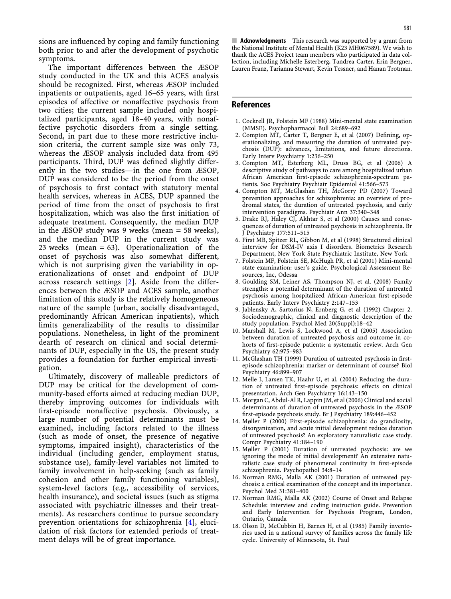<span id="page-6-0"></span>sions are influenced by coping and family functioning both prior to and after the development of psychotic symptoms.

The important differences between the ÆSOP study conducted in the UK and this ACES analysis should be recognized. First, whereas ÆSOP included inpatients or outpatients, aged 16–65 years, with first episodes of affective or nonaffective psychosis from two cities; the current sample included only hospitalized participants, aged 18–40 years, with nonaffective psychotic disorders from a single setting. Second, in part due to these more restrictive inclusion criteria, the current sample size was only 73, whereas the ÆSOP analysis included data from 495 participants. Third, DUP was defined slightly differently in the two studies—in the one from ÆSOP, DUP was considered to be the period from the onset of psychosis to first contact with statutory mental health services, whereas in ACES, DUP spanned the period of time from the onset of psychosis to first hospitalization, which was also the first initiation of adequate treatment. Consequently, the median DUP in the ÆSOP study was 9 weeks (mean = 58 weeks), and the median DUP in the current study was 23 weeks (mean  $= 63$ ). Operationalization of the onset of psychosis was also somewhat different, which is not surprising given the variability in operationalizations of onset and endpoint of DUP across research settings [2]. Aside from the differences between the ÆSOP and ACES sample, another limitation of this study is the relatively homogeneous nature of the sample (urban, socially disadvantaged, predominantly African American inpatients), which limits generalizability of the results to dissimilar populations. Nonetheless, in light of the prominent dearth of research on clinical and social determinants of DUP, especially in the US, the present study provides a foundation for further empirical investigation.

Ultimately, discovery of malleable predictors of DUP may be critical for the development of community-based efforts aimed at reducing median DUP, thereby improving outcomes for individuals with first-episode nonaffective psychosis. Obviously, a large number of potential determinants must be examined, including factors related to the illness (such as mode of onset, the presence of negative symptoms, impaired insight), characteristics of the individual (including gender, employment status, substance use), family-level variables not limited to family involvement in help-seeking (such as family cohesion and other family functioning variables), system-level factors (e.g., accessibility of services, health insurance), and societal issues (such as stigma associated with psychiatric illnesses and their treatments). As researchers continue to pursue secondary prevention orientations for schizophrenia [4], elucidation of risk factors for extended periods of treatment delays will be of great importance.

**E** Acknowledgments This research was supported by a grant from the National Institute of Mental Health (K23 MH067589). We wish to thank the ACES Project team members who participated in data collection, including Michelle Esterberg, Tandrea Carter, Erin Bergner, Lauren Franz, Tarianna Stewart, Kevin Tessner, and Hanan Trotman.

#### References

- 1. Cockrell JR, Folstein MF (1988) Mini-mental state examination (MMSE). Psychopharmacol Bull 24:689–692
- 2. Compton MT, Carter T, Bergner E, et al (2007) Defining, operationalizing, and measuring the duration of untreated psychosis (DUP): advances, limitations, and future directions. Early Interv Psychiatry 1:236–250
- 3. Compton MT, Esterberg ML, Druss BG, et al (2006) A descriptive study of pathways to care among hospitalized urban African American first-episode schizophrenia-spectrum patients. Soc Psychiatry Psychiatr Epidemiol 41:566–573
- 4. Compton MT, McGlashan TH, McGorry PD (2007) Toward prevention approaches for schizophrenia: an overview of prodromal states, the duration of untreated psychosis, and early intervention paradigms. Psychiatr Ann 37:340–348
- 5. Drake RJ, Haley CJ, Akhtar S, et al (2000) Causes and consequences of duration of untreated psychosis in schizophrenia. Br J Psychiatry 177:511–515
- 6. First MB, Spitzer RL, Gibbon M, et al (1998) Structured clinical interview for DSM-IV axis I disorders. Biometrics Research Department, New York State Psychiatric Institute, New York
- 7. Folstein MF, Folstein SE, McHugh PR, et al (2001) Mini-mental state examination: user's guide. Psychological Assessment Resources, Inc, Odessa
- 8. Goulding SM, Leiner AS, Thompson NJ, et al. (2008) Family strengths: a potential determinant of the duration of untreated psychosis among hospitalized African-American first-episode patients. Early Interv Psychiatry 2:147–153
- 9. Jablensky A, Sartorius N, Ernberg G, et al (1992) Chapter 2. Sociodemographic, clinical and diagnostic description of the study population. Psychol Med 20(Suppl):18–42
- 10. Marshall M, Lewis S, Lockwood A, et al (2005) Association between duration of untreated psychosis and outcome in cohorts of first-episode patients: a systematic review. Arch Gen Psychiatry 62:975–983
- 11. McGlashan TH (1999) Duration of untreated psychosis in firstepisode schizophrenia: marker or determinant of course? Biol Psychiatry 46:899–907
- 12. Melle I, Larsen TK, Haahr U, et al. (2004) Reducing the duration of untreated first-episode psychosis: effects on clinical presentation. Arch Gen Psychiatry 16:143–150
- 13. Morgan C, Abdul-Al R, Lappin JM, et al (2006) Clinical and social determinants of duration of untreated psychosis in the ÆSOP first-episode psychosis study. Br J Psychiatry 189:446–452
- 14. Møller P (2000) First-episode schizophrenia: do grandiosity, disorganization, and acute initial development reduce duration of untreated psychosis? An exploratory naturalistic case study. Compr Psychiatry 41:184–190
- 15. Møller P (2001) Duration of untreated psychosis: are we ignoring the mode of initial development? An extensive naturalistic case study of phenomenal continuity in first-episode schizophrenia. Psychopathol 34:8–14
- 16. Norman RMG, Malla AK (2001) Duration of untreated psychosis: a critical examination of the concept and its importance. Psychol Med 31:381–400
- 17. Norman RMG, Malla AK (2002) Course of Onset and Relapse Schedule: interview and coding instruction guide. Prevention and Early Intervention for Psychosis Program, London, Ontario, Canada
- 18. Olson D, McCubbin H, Barnes H, et al (1985) Family inventories used in a national survey of families across the family life cycle. University of Minnesota, St. Paul